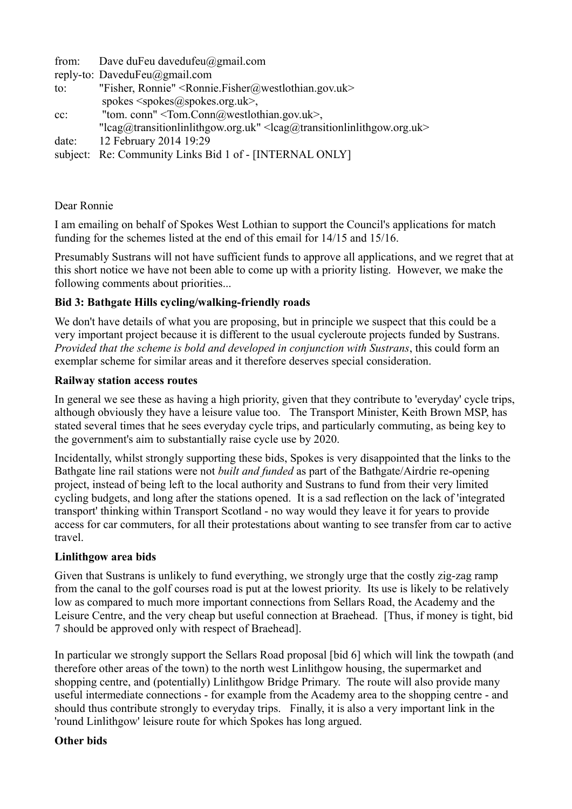from: Dave duFeu davedufeu@gmail.com

- reply-to: DaveduFeu@gmail.com
- to: "Fisher, Ronnie" <Ronnie.Fisher@westlothian.gov.uk> spokes  $\langle$ spokes $\langle \omega \rangle$ spokes.org.uk $>$ ,
- cc: "tom. conn" <Tom.Conn@westlothian.gov.uk>,
- "lcag@transitionlinlithgow.org.uk" <lcag@transitionlinlithgow.org.uk> date: 12 February 2014 19:29
- subject: Re: Community Links Bid 1 of [INTERNAL ONLY]

## Dear Ronnie

I am emailing on behalf of Spokes West Lothian to support the Council's applications for match funding for the schemes listed at the end of this email for 14/15 and 15/16.

Presumably Sustrans will not have sufficient funds to approve all applications, and we regret that at this short notice we have not been able to come up with a priority listing. However, we make the following comments about priorities...

# **Bid 3: Bathgate Hills cycling/walking-friendly roads**

We don't have details of what you are proposing, but in principle we suspect that this could be a very important project because it is different to the usual cycleroute projects funded by Sustrans. *Provided that the scheme is bold and developed in conjunction with Sustrans*, this could form an exemplar scheme for similar areas and it therefore deserves special consideration.

#### **Railway station access routes**

In general we see these as having a high priority, given that they contribute to 'everyday' cycle trips, although obviously they have a leisure value too. The Transport Minister, Keith Brown MSP, has stated several times that he sees everyday cycle trips, and particularly commuting, as being key to the government's aim to substantially raise cycle use by 2020.

Incidentally, whilst strongly supporting these bids, Spokes is very disappointed that the links to the Bathgate line rail stations were not *built and funded* as part of the Bathgate/Airdrie re-opening project, instead of being left to the local authority and Sustrans to fund from their very limited cycling budgets, and long after the stations opened. It is a sad reflection on the lack of 'integrated transport' thinking within Transport Scotland - no way would they leave it for years to provide access for car commuters, for all their protestations about wanting to see transfer from car to active travel.

## **Linlithgow area bids**

Given that Sustrans is unlikely to fund everything, we strongly urge that the costly zig-zag ramp from the canal to the golf courses road is put at the lowest priority. Its use is likely to be relatively low as compared to much more important connections from Sellars Road, the Academy and the Leisure Centre, and the very cheap but useful connection at Braehead. [Thus, if money is tight, bid 7 should be approved only with respect of Braehead].

In particular we strongly support the Sellars Road proposal [bid 6] which will link the towpath (and therefore other areas of the town) to the north west Linlithgow housing, the supermarket and shopping centre, and (potentially) Linlithgow Bridge Primary. The route will also provide many useful intermediate connections - for example from the Academy area to the shopping centre - and should thus contribute strongly to everyday trips. Finally, it is also a very important link in the 'round Linlithgow' leisure route for which Spokes has long argued.

## **Other bids**